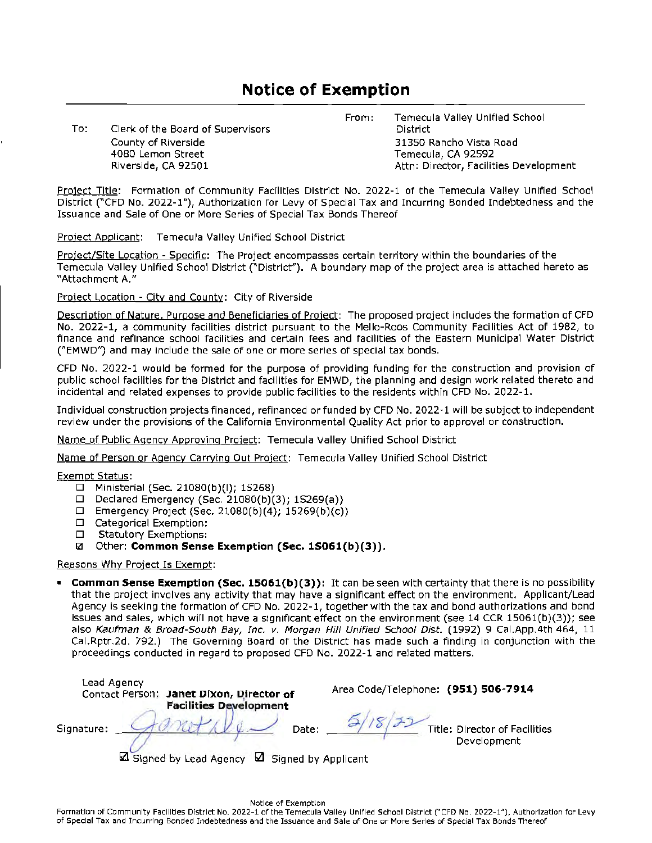# **Notice of Exemption**

To: Clerk of the Board of Supervisors County of Riverside 4080 Lemon Street Riverside, CA 92501

From: Temecula Valley Unified School District 31350 Rancho Vista Road Temecula, CA 92592 Attn: Director, Facilities Development

Project Title: Formation of Community Facilities District No. 2022-1 of the Temecula Valley Unified School District ("CFD No. 2022-1"), Authorization for Levy of Special Tax and Incurring Bonded lndebtedness and the Issuance and Sale of One or More Series of Special Tax Bonds Thereof

Project Applicant: Temecula Valley Unified School District

Project/Site Location - Specific: The Project encompasses certain territory within the boundaries of the Temecula Valley Unified School District ("District"). A boundary map of the project area is attached hereto as "Attachment A."

Project Location - City and County: City of Riverside

Description of Nature, Purpose and Beneficiaries of Project: The proposed project includes the formation of CFD No. 2022-1, a community facilities district pursuant to the Mello-Roos Community Facilities Act of 1982, to finance and refinance school facilities and certain fees and facilities of the Eastern Municipal Water District ("EMWD") and may include the sale of one or more series of special tax bonds.

CFO No. 2022-1 would be formed for the purpose of providing funding for the construction and provision of public school facilities for the District and facilities for EMWD, the planning and design work related thereto and incidental and related expenses to provide public facilities to the residents within CFD No. 2022-1.

Individual construction projects financed, refinanced or funded by CFD No. 2022-1 will be subject to independent review under the provisions of the California Environmental Quality Act prior to approval or construction.

Name of Public Agency Approving Project: Temecula Valley Unified School District

Name of Person or Agency Carrying Out Proiect: Temecula Valley Unified School District

#### Exempt Status:

- □ Ministerial (Sec. 21080(b)(I); 15268)
- □ Declared Emergency (Sec. 21080(b)(3); 15269(a))
- □ Emergency Project (Sec. 21080(b)(4); 15269(b)(c))
- □ Categorical Exemption:
- □ Statutory Exemptions:
- I.a Other: **Common Sense Exemption (Sec. 15061(b)(3)).**

#### Reasons Why Project Is Exempt:

• **Common Sense Exemption (Sec. 15061(b)(3)):** It can be seen with certainty that there is no possibility that the project involves any activity that may have a significant effect on the environment. Applicant/Lead Agency is seeking the formation of CFD No. 2022-1, together with the tax and bond authorizations and bond issues and sales, which will not have a significant effect on the environment (see 14 CCR 15061(b)(3)); see also Kaufman & Broad-South Bay, Inc. v. Morgan Hilf Unified Schoof Dist. (1992) 9 Cal.App.4th 464, 11 Cal.Rptr.2d. 792.) The Governing Board of the District has made such a finding in conjunction with the proceedings conducted in regard to proposed CFD No. 2022-1 and related matters.

| Lead Agency<br>Contact Person: Janet Dixon, Director of<br><b>Facilities Development</b> | Area Code/Telephone: (951) 506-7914          |
|------------------------------------------------------------------------------------------|----------------------------------------------|
| Signature:<br>Date:                                                                      | Title: Director of Facilities<br>Development |
| ⊠ Signed by Lead Agency ⊠ Signed by Applicant                                            |                                              |

Notice of Exemption Formation of Community Facilities District No. 2022-1 of the Temecula Valley Unified School District ("CFD No. 2022-1"), Authorization for Levy of Special Tax and lncurrlng Bonded Indebtedness and the issuance and Sale of One or More Serles of Special Tax Bonds Thereof